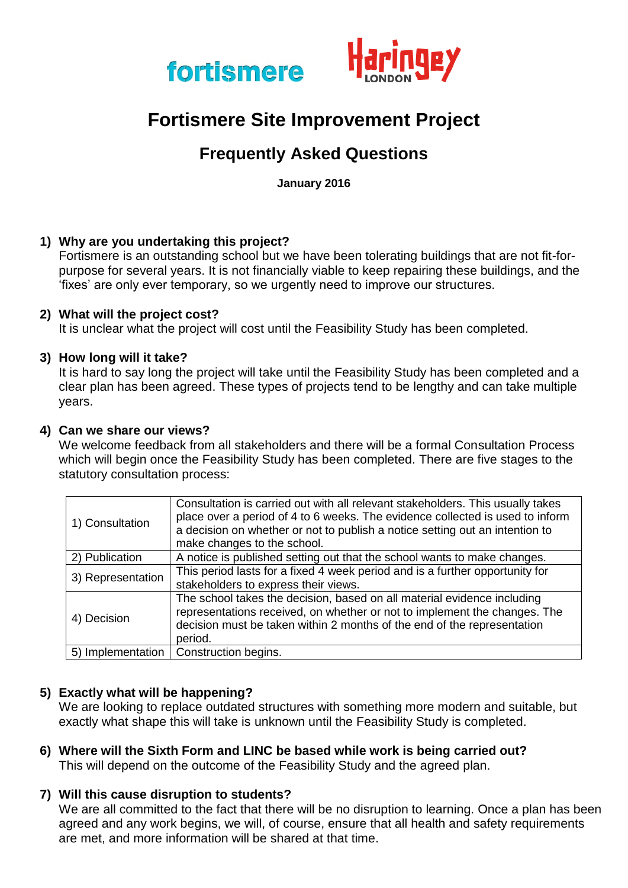



# **Fortismere Site Improvement Project**

# **Frequently Asked Questions**

**January 2016**

# **1) Why are you undertaking this project?**

Fortismere is an outstanding school but we have been tolerating buildings that are not fit-forpurpose for several years. It is not financially viable to keep repairing these buildings, and the 'fixes' are only ever temporary, so we urgently need to improve our structures.

#### **2) What will the project cost?**

It is unclear what the project will cost until the Feasibility Study has been completed.

#### **3) How long will it take?**

It is hard to say long the project will take until the Feasibility Study has been completed and a clear plan has been agreed. These types of projects tend to be lengthy and can take multiple years.

#### **4) Can we share our views?**

We welcome feedback from all stakeholders and there will be a formal Consultation Process which will begin once the Feasibility Study has been completed. There are five stages to the statutory consultation process:

| 1) Consultation   | Consultation is carried out with all relevant stakeholders. This usually takes<br>place over a period of 4 to 6 weeks. The evidence collected is used to inform<br>a decision on whether or not to publish a notice setting out an intention to<br>make changes to the school. |
|-------------------|--------------------------------------------------------------------------------------------------------------------------------------------------------------------------------------------------------------------------------------------------------------------------------|
| 2) Publication    | A notice is published setting out that the school wants to make changes.                                                                                                                                                                                                       |
| 3) Representation | This period lasts for a fixed 4 week period and is a further opportunity for<br>stakeholders to express their views.                                                                                                                                                           |
| 4) Decision       | The school takes the decision, based on all material evidence including<br>representations received, on whether or not to implement the changes. The<br>decision must be taken within 2 months of the end of the representation<br>period.                                     |
| 5) Implementation | Construction begins.                                                                                                                                                                                                                                                           |

#### **5) Exactly what will be happening?**

We are looking to replace outdated structures with something more modern and suitable, but exactly what shape this will take is unknown until the Feasibility Study is completed.

**6) Where will the Sixth Form and LINC be based while work is being carried out?** This will depend on the outcome of the Feasibility Study and the agreed plan.

#### **7) Will this cause disruption to students?**

We are all committed to the fact that there will be no disruption to learning. Once a plan has been agreed and any work begins, we will, of course, ensure that all health and safety requirements are met, and more information will be shared at that time.